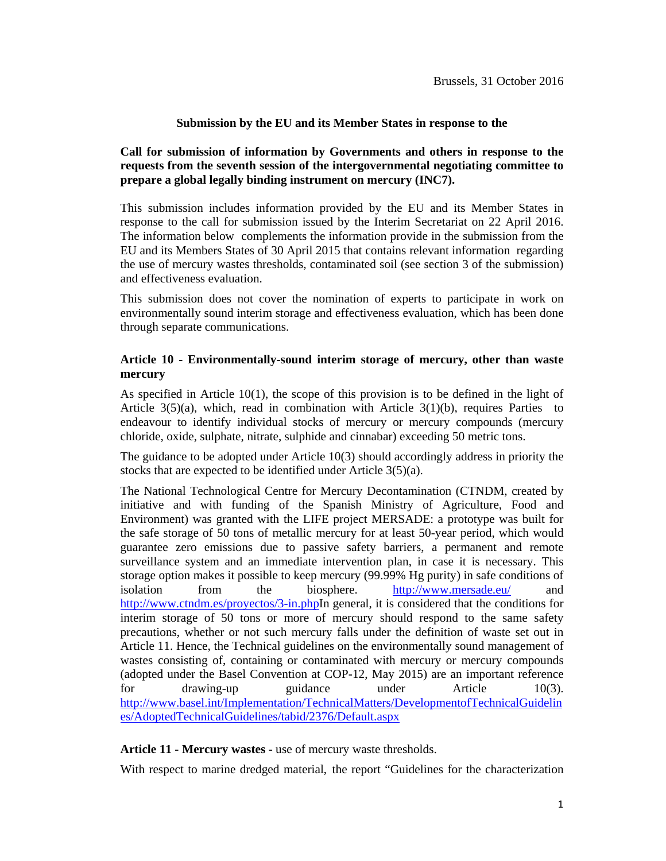### **Submission by the EU and its Member States in response to the**

# **Call for submission of information by Governments and others in response to the requests from the seventh session of the intergovernmental negotiating committee to prepare a global legally binding instrument on mercury (INC7).**

This submission includes information provided by the EU and its Member States in response to the call for submission issued by the Interim Secretariat on 22 April 2016. The information below complements the information provide in the submission from the EU and its Members States of 30 April 2015 that contains relevant information regarding the use of mercury wastes thresholds, contaminated soil (see section 3 of the submission) and effectiveness evaluation.

This submission does not cover the nomination of experts to participate in work on environmentally sound interim storage and effectiveness evaluation, which has been done through separate communications.

## **Article 10 - Environmentally-sound interim storage of mercury, other than waste mercury**

As specified in Article 10(1), the scope of this provision is to be defined in the light of Article  $3(5)(a)$ , which, read in combination with Article  $3(1)(b)$ , requires Parties to endeavour to identify individual stocks of mercury or mercury compounds (mercury chloride, oxide, sulphate, nitrate, sulphide and cinnabar) exceeding 50 metric tons.

The guidance to be adopted under Article 10(3) should accordingly address in priority the stocks that are expected to be identified under Article 3(5)(a).

The National Technological Centre for Mercury Decontamination (CTNDM, created by initiative and with funding of the Spanish Ministry of Agriculture, Food and Environment) was granted with the LIFE project MERSADE: a prototype was built for the safe storage of 50 tons of metallic mercury for at least 50-year period, which would guarantee zero emissions due to passive safety barriers, a permanent and remote surveillance system and an immediate intervention plan, in case it is necessary. This storage option makes it possible to keep mercury (99.99% Hg purity) in safe conditions of isolation from the biosphere. http://www.mersade.eu/ and http://www.ctndm.es/proyectos/3-in.phpIn general, it is considered that the conditions for interim storage of 50 tons or more of mercury should respond to the same safety precautions, whether or not such mercury falls under the definition of waste set out in Article 11. Hence, the Technical guidelines on the environmentally sound management of wastes consisting of, containing or contaminated with mercury or mercury compounds (adopted under the Basel Convention at COP-12, May 2015) are an important reference for drawing-up guidance under Article 10(3). http://www.basel.int/Implementation/TechnicalMatters/DevelopmentofTechnicalGuidelin es/AdoptedTechnicalGuidelines/tabid/2376/Default.aspx

#### **Article 11 - Mercury wastes -** use of mercury waste thresholds.

With respect to marine dredged material, the report "Guidelines for the characterization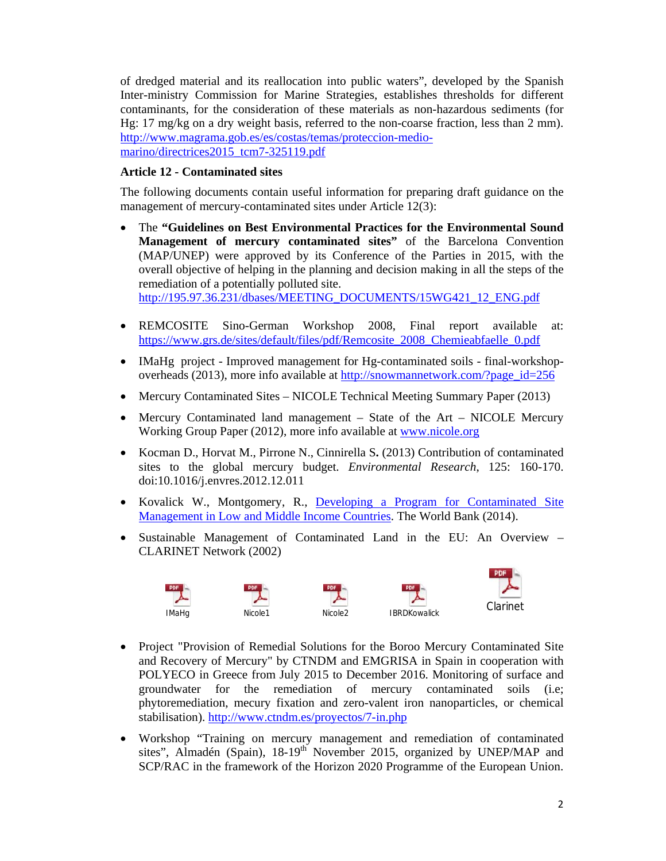of dredged material and its reallocation into public waters", developed by the Spanish Inter-ministry Commission for Marine Strategies, establishes thresholds for different contaminants, for the consideration of these materials as non-hazardous sediments (for Hg: 17 mg/kg on a dry weight basis, referred to the non-coarse fraction, less than 2 mm). http://www.magrama.gob.es/es/costas/temas/proteccion-mediomarino/directrices2015\_tcm7-325119.pdf

# **Article 12 - Contaminated sites**

The following documents contain useful information for preparing draft guidance on the management of mercury-contaminated sites under Article 12(3):

- The **"Guidelines on Best Environmental Practices for the Environmental Sound Management of mercury contaminated sites"** of the Barcelona Convention (MAP/UNEP) were approved by its Conference of the Parties in 2015, with the overall objective of helping in the planning and decision making in all the steps of the remediation of a potentially polluted site. http://195.97.36.231/dbases/MEETING\_DOCUMENTS/15WG421\_12\_ENG.pdf
- REMCOSITE Sino-German Workshop 2008, Final report available at: https://www.grs.de/sites/default/files/pdf/Remcosite\_2008\_Chemieabfaelle\_0.pdf
- IMaHg project Improved management for Hg-contaminated soils final-workshopoverheads (2013), more info available at http://snowmannetwork.com/?page\_id=256
- Mercury Contaminated Sites NICOLE Technical Meeting Summary Paper (2013)
- Mercury Contaminated land management State of the Art NICOLE Mercury Working Group Paper (2012), more info available at www.nicole.org
- Kocman D., Horvat M., Pirrone N., Cinnirella S**.** (2013) Contribution of contaminated sites to the global mercury budget. *Environmental Research*, 125: 160-170. doi:10.1016/j.envres.2012.12.011
- Kovalick W., Montgomery, R., Developing a Program for Contaminated Site Management in Low and Middle Income Countries. The World Bank (2014).
- Sustainable Management of Contaminated Land in the EU: An Overview CLARINET Network (2002)









- Project "Provision of Remedial Solutions for the Boroo Mercury Contaminated Site and Recovery of Mercury" by CTNDM and EMGRISA in Spain in cooperation with POLYECO in Greece from July 2015 to December 2016. Monitoring of surface and groundwater for the remediation of mercury contaminated soils (i.e; phytoremediation, mecury fixation and zero-valent iron nanoparticles, or chemical stabilisation). http://www.ctndm.es/proyectos/7-in.php
- Workshop "Training on mercury management and remediation of contaminated sites", Almadén (Spain), 18-19<sup>th</sup> November 2015, organized by UNEP/MAP and SCP/RAC in the framework of the Horizon 2020 Programme of the European Union.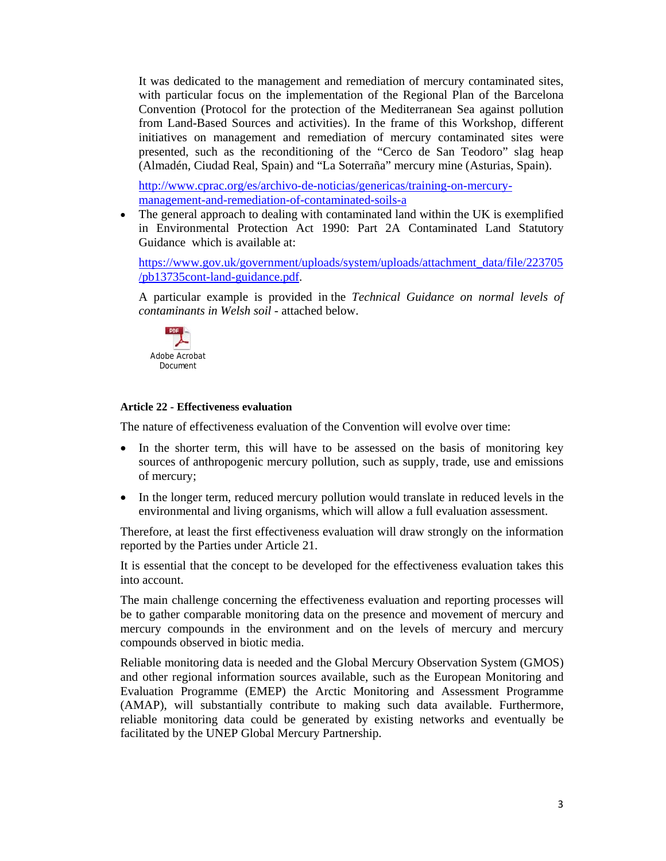It was dedicated to the management and remediation of mercury contaminated sites, with particular focus on the implementation of the Regional Plan of the Barcelona Convention (Protocol for the protection of the Mediterranean Sea against pollution from Land-Based Sources and activities). In the frame of this Workshop, different initiatives on management and remediation of mercury contaminated sites were presented, such as the reconditioning of the "Cerco de San Teodoro" slag heap (Almadén, Ciudad Real, Spain) and "La Soterraña" mercury mine (Asturias, Spain).

http://www.cprac.org/es/archivo-de-noticias/genericas/training-on-mercurymanagement-and-remediation-of-contaminated-soils-a

• The general approach to dealing with contaminated land within the UK is exemplified in Environmental Protection Act 1990: Part 2A Contaminated Land Statutory Guidance which is available at:

https://www.gov.uk/government/uploads/system/uploads/attachment\_data/file/223705 /pb13735cont-land-guidance.pdf.

A particular example is provided in the *Technical Guidance on normal levels of contaminants in Welsh soil* - attached below.



#### **Article 22 - Effectiveness evaluation**

The nature of effectiveness evaluation of the Convention will evolve over time:

- In the shorter term, this will have to be assessed on the basis of monitoring key sources of anthropogenic mercury pollution, such as supply, trade, use and emissions of mercury;
- In the longer term, reduced mercury pollution would translate in reduced levels in the environmental and living organisms, which will allow a full evaluation assessment.

Therefore, at least the first effectiveness evaluation will draw strongly on the information reported by the Parties under Article 21.

It is essential that the concept to be developed for the effectiveness evaluation takes this into account.

The main challenge concerning the effectiveness evaluation and reporting processes will be to gather comparable monitoring data on the presence and movement of mercury and mercury compounds in the environment and on the levels of mercury and mercury compounds observed in biotic media.

Reliable monitoring data is needed and the Global Mercury Observation System (GMOS) and other regional information sources available, such as the European Monitoring and Evaluation Programme (EMEP) the Arctic Monitoring and Assessment Programme (AMAP), will substantially contribute to making such data available. Furthermore, reliable monitoring data could be generated by existing networks and eventually be facilitated by the UNEP Global Mercury Partnership.